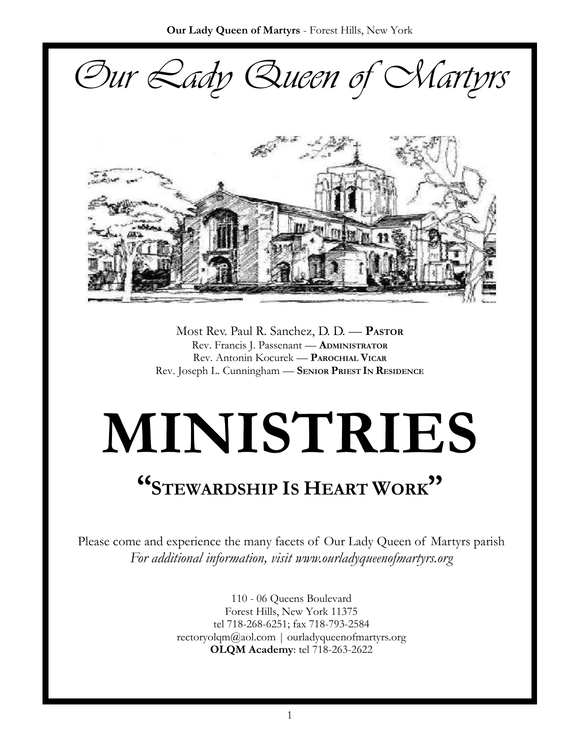*Our Lady Queen of Martyrs*



Most Rev. Paul R. Sanchez, D. D. — **PASTOR** Rev. Francis J. Passenant — **ADMINISTRATOR** Rev. Antonin Kocurek — **PAROCHIAL VICAR** Rev. Joseph L. Cunningham — **SENIOR PRIEST IN RESIDENCE** 

# **MINISTRIES**

## **"<sup>S</sup>TEWARDSHIP IS HEART WORK"**

Please come and experience the many facets of Our Lady Queen of Martyrs parish *For additional information, visit www.ourladyqueenofmartyrs.org*

> 110 - 06 Queens Boulevard Forest Hills, New York 11375 tel 718-268-6251; fax 718-793-2584 rectoryolqm@aol.com | ourladyqueenofmartyrs.org **OLQM Academy**: tel 718-263-2622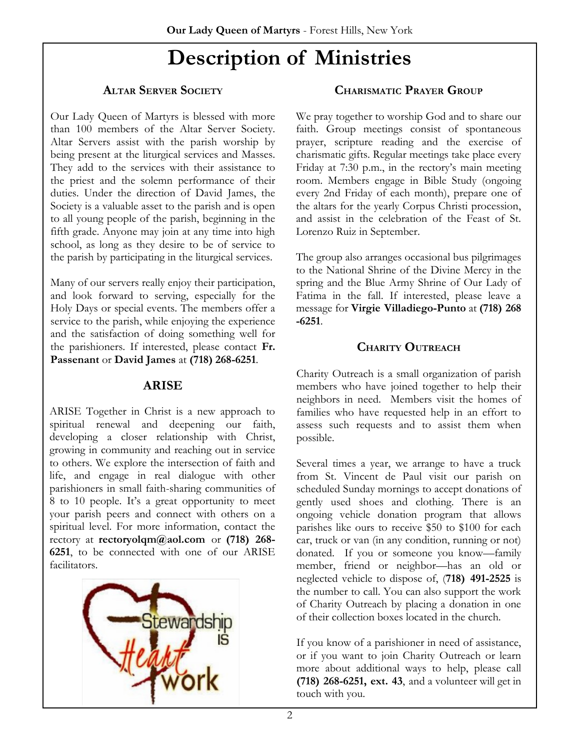### **Description of Ministries**

#### **ALTAR SERVER SOCIETY**

Our Lady Queen of Martyrs is blessed with more than 100 members of the Altar Server Society. Altar Servers assist with the parish worship by being present at the liturgical services and Masses. They add to the services with their assistance to the priest and the solemn performance of their duties. Under the direction of David James, the Society is a valuable asset to the parish and is open to all young people of the parish, beginning in the fifth grade. Anyone may join at any time into high school, as long as they desire to be of service to the parish by participating in the liturgical services.

Many of our servers really enjoy their participation, and look forward to serving, especially for the Holy Days or special events. The members offer a service to the parish, while enjoying the experience and the satisfaction of doing something well for the parishioners. If interested, please contact **Fr. Passenant** or **David James** at **(718) 268-6251**.

#### **ARISE**

ARISE Together in Christ is a new approach to spiritual renewal and deepening our faith, developing a closer relationship with Christ, growing in community and reaching out in service to others. We explore the intersection of faith and life, and engage in real dialogue with other parishioners in small faith-sharing communities of 8 to 10 people. It's a great opportunity to meet your parish peers and connect with others on a spiritual level. For more information, contact the rectory at **rectoryolqm@aol.com** or **(718) 268- 6251**, to be connected with one of our ARISE facilitators.



#### **CHARISMATIC PRAYER GROUP**

We pray together to worship God and to share our faith. Group meetings consist of spontaneous prayer, scripture reading and the exercise of charismatic gifts. Regular meetings take place every Friday at 7:30 p.m., in the rectory's main meeting room. Members engage in Bible Study (ongoing every 2nd Friday of each month), prepare one of the altars for the yearly Corpus Christi procession, and assist in the celebration of the Feast of St. Lorenzo Ruiz in September.

The group also arranges occasional bus pilgrimages to the National Shrine of the Divine Mercy in the spring and the Blue Army Shrine of Our Lady of Fatima in the fall. If interested, please leave a message for **Virgie Villadiego-Punto** at **(718) 268 -6251**.

#### **CHARITY OUTREACH**

Charity Outreach is a small organization of parish members who have joined together to help their neighbors in need. Members visit the homes of families who have requested help in an effort to assess such requests and to assist them when possible.

Several times a year, we arrange to have a truck from St. Vincent de Paul visit our parish on scheduled Sunday mornings to accept donations of gently used shoes and clothing. There is an ongoing vehicle donation program that allows parishes like ours to receive \$50 to \$100 for each car, truck or van (in any condition, running or not) donated. If you or someone you know—family member, friend or neighbor—has an old or neglected vehicle to dispose of, (**718) 491-2525** is the number to call. You can also support the work of Charity Outreach by placing a donation in one of their collection boxes located in the church.

If you know of a parishioner in need of assistance, or if you want to join Charity Outreach or learn more about additional ways to help, please call **(718) 268-6251, ext. 43**, and a volunteer will get in touch with you.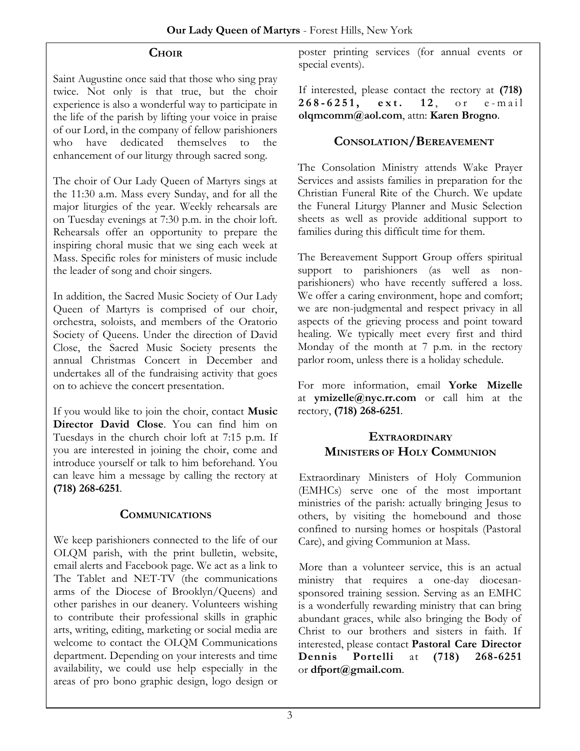#### **CHOIR**

Saint Augustine once said that those who sing pray twice. Not only is that true, but the choir experience is also a wonderful way to participate in the life of the parish by lifting your voice in praise of our Lord, in the company of fellow parishioners who have dedicated themselves to the enhancement of our liturgy through sacred song.

The choir of Our Lady Queen of Martyrs sings at the 11:30 a.m. Mass every Sunday, and for all the major liturgies of the year. Weekly rehearsals are on Tuesday evenings at 7:30 p.m. in the choir loft. Rehearsals offer an opportunity to prepare the inspiring choral music that we sing each week at Mass. Specific roles for ministers of music include the leader of song and choir singers.

In addition, the Sacred Music Society of Our Lady Queen of Martyrs is comprised of our choir, orchestra, soloists, and members of the Oratorio Society of Queens. Under the direction of David Close, the Sacred Music Society presents the annual Christmas Concert in December and undertakes all of the fundraising activity that goes on to achieve the concert presentation.

If you would like to join the choir, contact **Music Director David Close**. You can find him on Tuesdays in the church choir loft at 7:15 p.m. If you are interested in joining the choir, come and introduce yourself or talk to him beforehand. You can leave him a message by calling the rectory at **(718) 268-6251**.

#### **COMMUNICATIONS**

We keep parishioners connected to the life of our OLQM parish, with the print bulletin, website, email alerts and Facebook page. We act as a link to The Tablet and NET-TV (the communications arms of the Diocese of Brooklyn/Queens) and other parishes in our deanery. Volunteers wishing to contribute their professional skills in graphic arts, writing, editing, marketing or social media are welcome to contact the OLQM Communications department. Depending on your interests and time availability, we could use help especially in the areas of pro bono graphic design, logo design or

poster printing services (for annual events or special events).

If interested, please contact the rectory at **(718)**  268-6251, ext. 12, or e-mail **olqmcomm@aol.com**, attn: **Karen Brogno**.

#### **CONSOLATION/BEREAVEMENT**

The Consolation Ministry attends Wake Prayer Services and assists families in preparation for the Christian Funeral Rite of the Church. We update the Funeral Liturgy Planner and Music Selection sheets as well as provide additional support to families during this difficult time for them.

The Bereavement Support Group offers spiritual support to parishioners (as well as nonparishioners) who have recently suffered a loss. We offer a caring environment, hope and comfort; we are non-judgmental and respect privacy in all aspects of the grieving process and point toward healing. We typically meet every first and third Monday of the month at 7 p.m. in the rectory parlor room, unless there is a holiday schedule.

For more information, email **Yorke Mizelle** at **ymizelle@nyc.rr.com** or call him at the rectory, **(718) 268-6251**.

#### **EXTRAORDINARY MINISTERS OF HOLY COMMUNION**

Extraordinary Ministers of Holy Communion (EMHCs) serve one of the most important ministries of the parish: actually bringing Jesus to others, by visiting the homebound and those confined to nursing homes or hospitals (Pastoral Care), and giving Communion at Mass.

More than a volunteer service, this is an actual ministry that requires a one-day diocesansponsored training session. Serving as an EMHC is a wonderfully rewarding ministry that can bring abundant graces, while also bringing the Body of Christ to our brothers and sisters in faith. If interested, please contact **Pastoral Care Director Dennis Portelli** at **(718) 268-6251**  or **dfport@gmail.com**.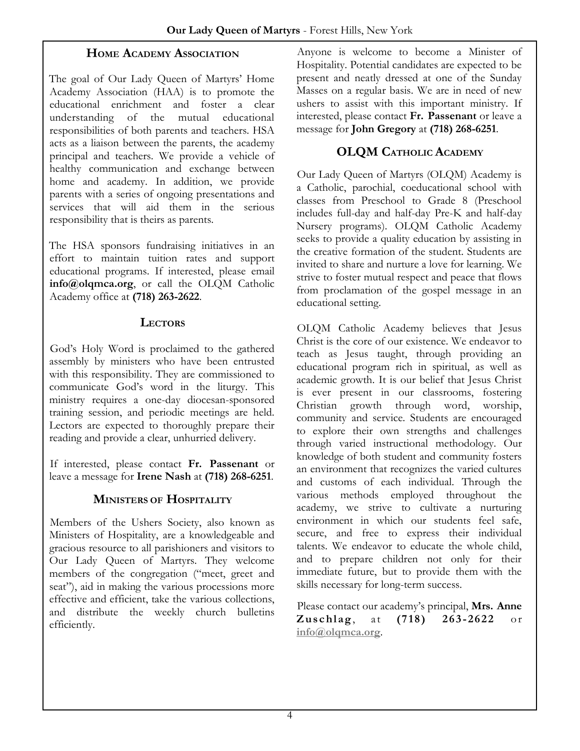#### **HOME ACADEMY ASSOCIATION**

The goal of Our Lady Queen of Martyrs' Home Academy Association (HAA) is to promote the educational enrichment and foster a clear understanding of the mutual educational responsibilities of both parents and teachers. HSA acts as a liaison between the parents, the academy principal and teachers. We provide a vehicle of healthy communication and exchange between home and academy. In addition, we provide parents with a series of ongoing presentations and services that will aid them in the serious responsibility that is theirs as parents.

The HSA sponsors fundraising initiatives in an effort to maintain tuition rates and support educational programs. If interested, please email **info@olqmca.org**, or call the OLQM Catholic Academy office at **(718) 263-2622**.

#### **LECTORS**

God's Holy Word is proclaimed to the gathered assembly by ministers who have been entrusted with this responsibility. They are commissioned to communicate God's word in the liturgy. This ministry requires a one-day diocesan-sponsored training session, and periodic meetings are held. Lectors are expected to thoroughly prepare their reading and provide a clear, unhurried delivery.

If interested, please contact **Fr. Passenant** or leave a message for **Irene Nash** at **(718) 268-6251**.

#### **MINISTERS OF HOSPITALITY**

Members of the Ushers Society, also known as Ministers of Hospitality, are a knowledgeable and gracious resource to all parishioners and visitors to Our Lady Queen of Martyrs. They welcome members of the congregation ("meet, greet and seat"), aid in making the various processions more effective and efficient, take the various collections, and distribute the weekly church bulletins efficiently.

Anyone is welcome to become a Minister of Hospitality. Potential candidates are expected to be present and neatly dressed at one of the Sunday Masses on a regular basis. We are in need of new ushers to assist with this important ministry. If interested, please contact **Fr. Passenant** or leave a message for **John Gregory** at **(718) 268-6251**.

#### **OLQM CATHOLIC ACADEMY**

Our Lady Queen of Martyrs (OLQM) Academy is a Catholic, parochial, coeducational school with classes from Preschool to Grade 8 (Preschool includes full-day and half-day Pre-K and half-day Nursery programs). OLQM Catholic Academy seeks to provide a quality education by assisting in the creative formation of the student. Students are invited to share and nurture a love for learning. We strive to foster mutual respect and peace that flows from proclamation of the gospel message in an educational setting.

OLQM Catholic Academy believes that Jesus Christ is the core of our existence. We endeavor to teach as Jesus taught, through providing an educational program rich in spiritual, as well as academic growth. It is our belief that Jesus Christ is ever present in our classrooms, fostering Christian growth through word, worship, community and service. Students are encouraged to explore their own strengths and challenges through varied instructional methodology. Our knowledge of both student and community fosters an environment that recognizes the varied cultures and customs of each individual. Through the various methods employed throughout the academy, we strive to cultivate a nurturing environment in which our students feel safe, secure, and free to express their individual talents. We endeavor to educate the whole child, and to prepare children not only for their immediate future, but to provide them with the skills necessary for long-term success.

Please contact our academy's principal, **Mrs. Anne Zuschlag**, at (718) 263-2622 or **[info@olqmca.org](mailto:info@olqmca.org)**.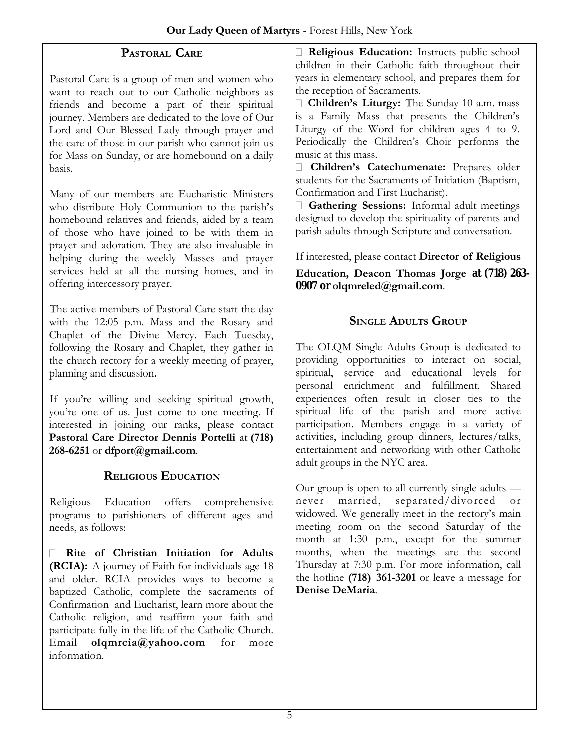#### **PASTORAL CARE**

Pastoral Care is a group of men and women who want to reach out to our Catholic neighbors as friends and become a part of their spiritual journey. Members are dedicated to the love of Our Lord and Our Blessed Lady through prayer and the care of those in our parish who cannot join us for Mass on Sunday, or are homebound on a daily basis.

Many of our members are Eucharistic Ministers who distribute Holy Communion to the parish's homebound relatives and friends, aided by a team of those who have joined to be with them in prayer and adoration. They are also invaluable in helping during the weekly Masses and prayer services held at all the nursing homes, and in offering intercessory prayer.

The active members of Pastoral Care start the day with the 12:05 p.m. Mass and the Rosary and Chaplet of the Divine Mercy. Each Tuesday, following the Rosary and Chaplet, they gather in the church rectory for a weekly meeting of prayer, planning and discussion.

If you're willing and seeking spiritual growth, you're one of us. Just come to one meeting. If interested in joining our ranks, please contact **Pastoral Care Director Dennis Portelli** at **(718) 268-6251** or **dfport@gmail.com**.

#### **RELIGIOUS EDUCATION**

Religious Education offers comprehensive programs to parishioners of different ages and needs, as follows:

**Rite of Christian Initiation for Adults (RCIA):** A journey of Faith for individuals age 18 and older. RCIA provides ways to become a baptized Catholic, complete the sacraments of Confirmation and Eucharist, learn more about the Catholic religion, and reaffirm your faith and participate fully in the life of the Catholic Church. Email **olqmrcia@yahoo.com** for more information.

**Religious Education:** Instructs public school children in their Catholic faith throughout their years in elementary school, and prepares them for the reception of Sacraments.

**Children's Liturgy:** The Sunday 10 a.m. mass is a Family Mass that presents the Children's Liturgy of the Word for children ages 4 to 9. Periodically the Children's Choir performs the music at this mass.

**Children's Catechumenate:** Prepares older students for the Sacraments of Initiation (Baptism, Confirmation and First Eucharist).

**Gathering Sessions:** Informal adult meetings designed to develop the spirituality of parents and parish adults through Scripture and conversation.

If interested, please contact **Director of Religious** 

**Education, Deacon Thomas Jorge at (718) 263- 0907 or olqmreled@gmail.com**.

#### **SINGLE ADULTS GROUP**

The OLQM Single Adults Group is dedicated to providing opportunities to interact on social, spiritual, service and educational levels for personal enrichment and fulfillment. Shared experiences often result in closer ties to the spiritual life of the parish and more active participation. Members engage in a variety of activities, including group dinners, lectures/talks, entertainment and networking with other Catholic adult groups in the NYC area.

Our group is open to all currently single adults never married, separated/divorced or widowed. We generally meet in the rectory's main meeting room on the second Saturday of the month at 1:30 p.m., except for the summer months, when the meetings are the second Thursday at 7:30 p.m. For more information, call the hotline **(718) 361-3201** or leave a message for **Denise DeMaria**.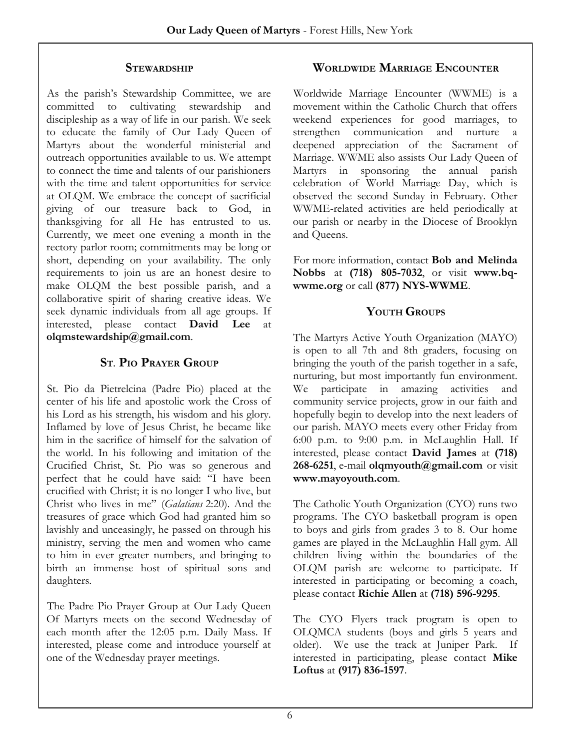#### **STEWARDSHIP**

As the parish's Stewardship Committee, we are committed to cultivating stewardship and discipleship as a way of life in our parish. We seek to educate the family of Our Lady Queen of Martyrs about the wonderful ministerial and outreach opportunities available to us. We attempt to connect the time and talents of our parishioners with the time and talent opportunities for service at OLQM. We embrace the concept of sacrificial giving of our treasure back to God, in thanksgiving for all He has entrusted to us. Currently, we meet one evening a month in the rectory parlor room; commitments may be long or short, depending on your availability. The only requirements to join us are an honest desire to make OLQM the best possible parish, and a collaborative spirit of sharing creative ideas. We seek dynamic individuals from all age groups. If interested, please contact **David Lee** at **olqmstewardship@gmail.com**.

#### **ST. PIO PRAYER GROUP**

St. Pio da Pietrelcina (Padre Pio) placed at the center of his life and apostolic work the Cross of his Lord as his strength, his wisdom and his glory. Inflamed by love of Jesus Christ, he became like him in the sacrifice of himself for the salvation of the world. In his following and imitation of the Crucified Christ, St. Pio was so generous and perfect that he could have said: "I have been crucified with Christ; it is no longer I who live, but Christ who lives in me" (*Galatians* 2:20). And the treasures of grace which God had granted him so lavishly and unceasingly, he passed on through his ministry, serving the men and women who came to him in ever greater numbers, and bringing to birth an immense host of spiritual sons and daughters.

The Padre Pio Prayer Group at Our Lady Queen Of Martyrs meets on the second Wednesday of each month after the 12:05 p.m. Daily Mass. If interested, please come and introduce yourself at one of the Wednesday prayer meetings.

#### **WORLDWIDE MARRIAGE ENCOUNTER**

Worldwide Marriage Encounter (WWME) is a movement within the Catholic Church that offers weekend experiences for good marriages, to strengthen communication and nurture a deepened appreciation of the Sacrament of Marriage. WWME also assists Our Lady Queen of Martyrs in sponsoring the annual parish celebration of World Marriage Day, which is observed the second Sunday in February. Other WWME-related activities are held periodically at our parish or nearby in the Diocese of Brooklyn and Queens.

For more information, contact **Bob and Melinda Nobbs** at **(718) 805-7032**, or visit **www.bqwwme.org** or call **(877) NYS-WWME**.

#### **YOUTH GROUPS**

The Martyrs Active Youth Organization (MAYO) is open to all 7th and 8th graders, focusing on bringing the youth of the parish together in a safe, nurturing, but most importantly fun environment. We participate in amazing activities and community service projects, grow in our faith and hopefully begin to develop into the next leaders of our parish. MAYO meets every other Friday from 6:00 p.m. to 9:00 p.m. in McLaughlin Hall. If interested, please contact **David James** at **(718) 268-6251**, e-mail **olqmyouth@gmail.com** or visit **www.mayoyouth.com**.

The Catholic Youth Organization (CYO) runs two programs. The CYO basketball program is open to boys and girls from grades 3 to 8. Our home games are played in the McLaughlin Hall gym. All children living within the boundaries of the OLQM parish are welcome to participate. If interested in participating or becoming a coach, please contact **Richie Allen** at **(718) 596-9295**.

The CYO Flyers track program is open to OLQMCA students (boys and girls 5 years and older). We use the track at Juniper Park. If interested in participating, please contact **Mike Loftus** at **(917) 836-1597**.